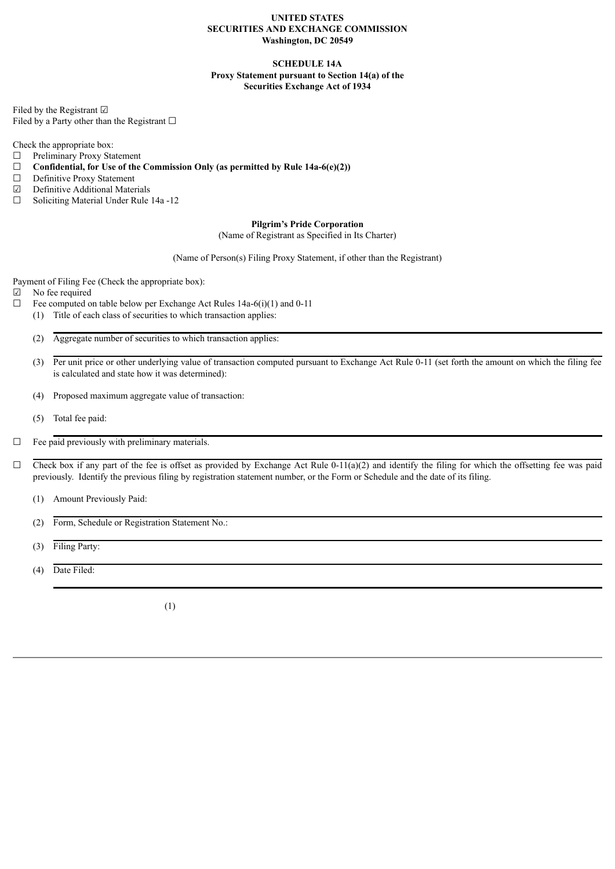#### **UNITED STATES SECURITIES AND EXCHANGE COMMISSION Washington, DC 20549**

### **SCHEDULE 14A Proxy Statement pursuant to Section 14(a) of the Securities Exchange Act of 1934**

Filed by the Registrant ☑ Filed by a Party other than the Registrant  $□$ 

Check the appropriate box:

- $\Box$  Preliminary Proxy Statement<br> $\Box$  Confidential, for Use of the
- ☐ **Confidential, for Use of the Commission Only (as permitted by Rule 14a-6(e)(2))**
- $\Box$  Definitive Proxy Statement<br> $\Box$  Definitive Additional Mater
- ☑ Definitive Additional Materials
- ☐ Soliciting Material Under Rule 14a -12

### **Pilgrim's Pride Corporation**

(Name of Registrant as Specified in Its Charter)

(Name of Person(s) Filing Proxy Statement, if other than the Registrant)

Payment of Filing Fee (Check the appropriate box):

☑ No fee required

- $\Box$  Fee computed on table below per Exchange Act Rules 14a-6(i)(1) and 0-11
	- (1) Title of each class of securities to which transaction applies:

(2) Aggregate number of securities to which transaction applies:

- (3) Per unit price or other underlying value of transaction computed pursuant to Exchange Act Rule 0-11 (set forth the amount on which the filing fee is calculated and state how it was determined):
- (4) Proposed maximum aggregate value of transaction:
- (5) Total fee paid:

 $\Box$  Fee paid previously with preliminary materials.

- $\Box$  Check box if any part of the fee is offset as provided by Exchange Act Rule 0-11(a)(2) and identify the filing for which the offsetting fee was paid previously. Identify the previous filing by registration statement number, or the Form or Schedule and the date of its filing.
	- (1) Amount Previously Paid:
	- (2) Form, Schedule or Registration Statement No.:
	- (3) Filing Party:
	- (4) Date Filed:

(1)